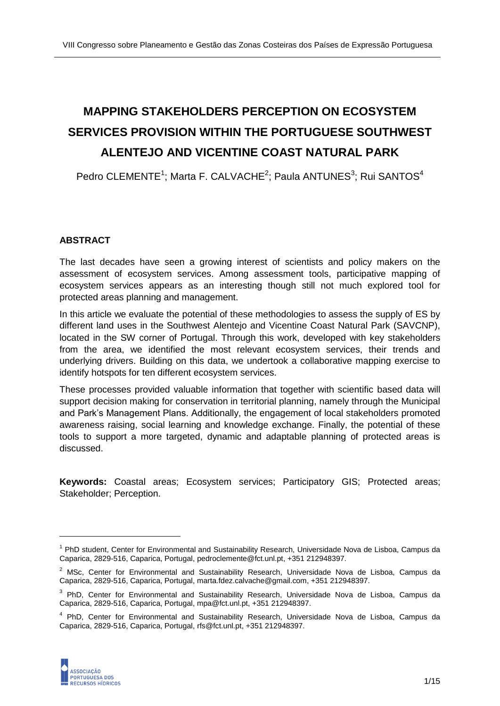# **MAPPING STAKEHOLDERS PERCEPTION ON ECOSYSTEM SERVICES PROVISION WITHIN THE PORTUGUESE SOUTHWEST ALENTEJO AND VICENTINE COAST NATURAL PARK**

Pedro CLEMENTE<sup>1</sup>; Marta F. CALVACHE<sup>2</sup>; Paula ANTUNES<sup>3</sup>; Rui SANTOS<sup>4</sup>

# **ABSTRACT**

The last decades have seen a growing interest of scientists and policy makers on the assessment of ecosystem services. Among assessment tools, participative mapping of ecosystem services appears as an interesting though still not much explored tool for protected areas planning and management.

In this article we evaluate the potential of these methodologies to assess the supply of ES by different land uses in the Southwest Alentejo and Vicentine Coast Natural Park (SAVCNP), located in the SW corner of Portugal. Through this work, developed with key stakeholders from the area, we identified the most relevant ecosystem services, their trends and underlying drivers. Building on this data, we undertook a collaborative mapping exercise to identify hotspots for ten different ecosystem services.

These processes provided valuable information that together with scientific based data will support decision making for conservation in territorial planning, namely through the Municipal and Park's Management Plans. Additionally, the engagement of local stakeholders promoted awareness raising, social learning and knowledge exchange. Finally, the potential of these tools to support a more targeted, dynamic and adaptable planning of protected areas is discussed.

**Keywords:** Coastal areas; Ecosystem services; Participatory GIS; Protected areas; Stakeholder; Perception.

<sup>&</sup>lt;sup>4</sup> PhD, Center for Environmental and Sustainability Research, Universidade Nova de Lisboa, Campus da Caparica, 2829-516, Caparica, Portugal[, rfs@fct.unl.pt,](mailto:rfs@fct.unl.pt) +351 212948397.



<sup>&</sup>lt;sup>1</sup> PhD student, Center for Environmental and Sustainability Research, Universidade Nova de Lisboa, Campus da Caparica, 2829-516, Caparica, Portugal[, pedroclemente@fct.unl.pt,](mailto:pedroclemente@fct.unl.pt) +351 212948397.

<sup>&</sup>lt;sup>2</sup> MSc, Center for Environmental and Sustainability Research, Universidade Nova de Lisboa, Campus da Caparica, 2829-516, Caparica, Portugal[, marta.fdez.calvache@gmail.com,](mailto:marta.fdez.calvache@gmail.com) +351 212948397.

<sup>&</sup>lt;sup>3</sup> PhD, Center for Environmental and Sustainability Research, Universidade Nova de Lisboa, Campus da Caparica, 2829-516, Caparica, Portugal[, mpa@fct.unl.pt,](mailto:mpa@fct.unl.pt) +351 212948397.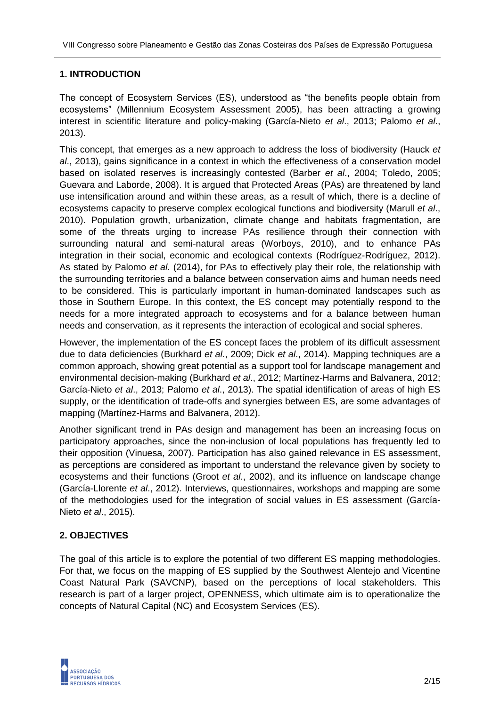## **1. INTRODUCTION**

The concept of Ecosystem Services (ES), understood as "the benefits people obtain from ecosystems" (Millennium Ecosystem Assessment 2005), has been attracting a growing interest in scientific literature and policy-making (García-Nieto *et al*., 2013; Palomo *et al*., 2013).

This concept, that emerges as a new approach to address the loss of biodiversity (Hauck *et al*., 2013), gains significance in a context in which the effectiveness of a conservation model based on isolated reserves is increasingly contested (Barber *et al*., 2004; Toledo, 2005; Guevara and Laborde, 2008). It is argued that Protected Areas (PAs) are threatened by land use intensification around and within these areas, as a result of which, there is a decline of ecosystems capacity to preserve complex ecological functions and biodiversity (Marull *et al*., 2010). Population growth, urbanization, climate change and habitats fragmentation, are some of the threats urging to increase PAs resilience through their connection with surrounding natural and semi-natural areas (Worboys, 2010), and to enhance PAs integration in their social, economic and ecological contexts (Rodríguez-Rodríguez, 2012). As stated by Palomo *et al*. (2014), for PAs to effectively play their role, the relationship with the surrounding territories and a balance between conservation aims and human needs need to be considered. This is particularly important in human-dominated landscapes such as those in Southern Europe. In this context, the ES concept may potentially respond to the needs for a more integrated approach to ecosystems and for a balance between human needs and conservation, as it represents the interaction of ecological and social spheres.

However, the implementation of the ES concept faces the problem of its difficult assessment due to data deficiencies (Burkhard *et al*., 2009; Dick *et al*., 2014). Mapping techniques are a common approach, showing great potential as a support tool for landscape management and environmental decision-making (Burkhard *et al*., 2012; Martínez-Harms and Balvanera, 2012; García-Nieto *et al*., 2013; Palomo *et al*., 2013). The spatial identification of areas of high ES supply, or the identification of trade-offs and synergies between ES, are some advantages of mapping (Martínez-Harms and Balvanera, 2012).

Another significant trend in PAs design and management has been an increasing focus on participatory approaches, since the non-inclusion of local populations has frequently led to their opposition (Vinuesa, 2007). Participation has also gained relevance in ES assessment, as perceptions are considered as important to understand the relevance given by society to ecosystems and their functions (Groot *et al*., 2002), and its influence on landscape change (García-Llorente *et al*., 2012). Interviews, questionnaires, workshops and mapping are some of the methodologies used for the integration of social values in ES assessment (García-Nieto *et al*., 2015).

# **2. OBJECTIVES**

The goal of this article is to explore the potential of two different ES mapping methodologies. For that, we focus on the mapping of ES supplied by the Southwest Alentejo and Vicentine Coast Natural Park (SAVCNP), based on the perceptions of local stakeholders. This research is part of a larger project, OPENNESS, which ultimate aim is to operationalize the concepts of Natural Capital (NC) and Ecosystem Services (ES).

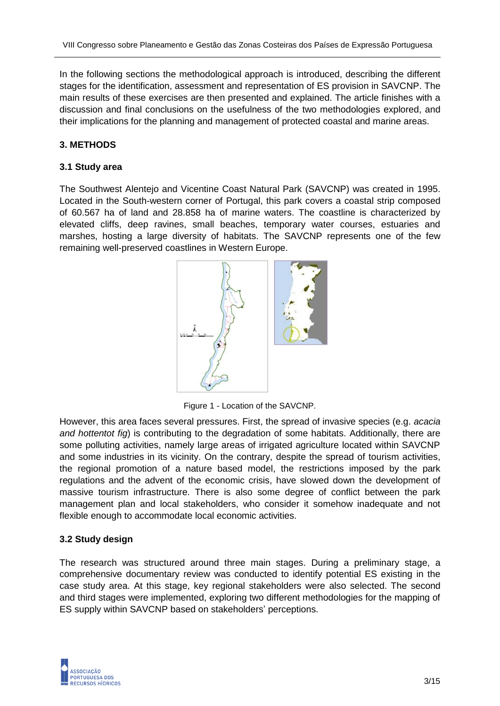In the following sections the methodological approach is introduced, describing the different stages for the identification, assessment and representation of ES provision in SAVCNP. The main results of these exercises are then presented and explained. The article finishes with a discussion and final conclusions on the usefulness of the two methodologies explored, and their implications for the planning and management of protected coastal and marine areas.

# **3. METHODS**

### **3.1 Study area**

The Southwest Alentejo and Vicentine Coast Natural Park (SAVCNP) was created in 1995. Located in the South-western corner of Portugal, this park covers a coastal strip composed of 60.567 ha of land and 28.858 ha of marine waters. The coastline is characterized by elevated cliffs, deep ravines, small beaches, temporary water courses, estuaries and marshes, hosting a large diversity of habitats. The SAVCNP represents one of the few remaining well-preserved coastlines in Western Europe.



Figure 1 - Location of the SAVCNP.

However, this area faces several pressures. First, the spread of invasive species (e.g. *acacia and hottentot fig*) is contributing to the degradation of some habitats. Additionally, there are some polluting activities, namely large areas of irrigated agriculture located within SAVCNP and some industries in its vicinity. On the contrary, despite the spread of tourism activities, the regional promotion of a nature based model, the restrictions imposed by the park regulations and the advent of the economic crisis, have slowed down the development of massive tourism infrastructure. There is also some degree of conflict between the park management plan and local stakeholders, who consider it somehow inadequate and not flexible enough to accommodate local economic activities.

### **3.2 Study design**

The research was structured around three main stages. During a preliminary stage, a comprehensive documentary review was conducted to identify potential ES existing in the case study area. At this stage, key regional stakeholders were also selected. The second and third stages were implemented, exploring two different methodologies for the mapping of ES supply within SAVCNP based on stakeholders' perceptions.

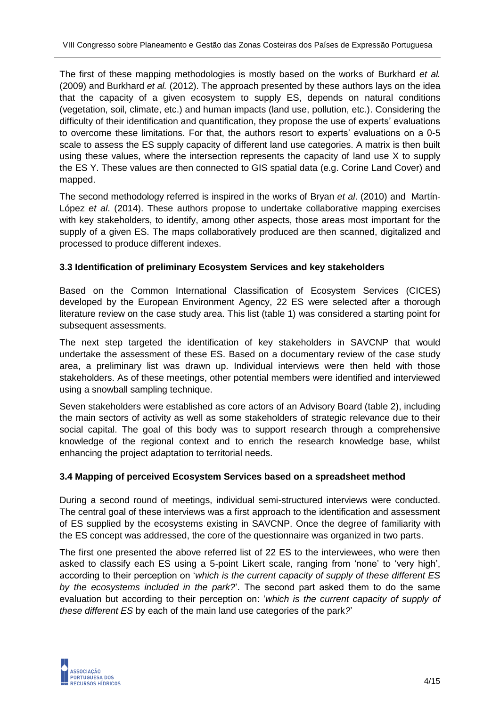The first of these mapping methodologies is mostly based on the works of Burkhard *et al.* (2009) and Burkhard *et al.* (2012). The approach presented by these authors lays on the idea that the capacity of a given ecosystem to supply ES, depends on natural conditions (vegetation, soil, climate, etc.) and human impacts (land use, pollution, etc.). Considering the difficulty of their identification and quantification, they propose the use of experts' evaluations to overcome these limitations. For that, the authors resort to experts' evaluations on a 0-5 scale to assess the ES supply capacity of different land use categories. A matrix is then built using these values, where the intersection represents the capacity of land use X to supply the ES Y. These values are then connected to GIS spatial data (e.g. Corine Land Cover) and mapped.

The second methodology referred is inspired in the works of Bryan *et al*. (2010) and Martín-López *et al*. (2014). These authors propose to undertake collaborative mapping exercises with key stakeholders, to identify, among other aspects, those areas most important for the supply of a given ES. The maps collaboratively produced are then scanned, digitalized and processed to produce different indexes.

### **3.3 Identification of preliminary Ecosystem Services and key stakeholders**

Based on the Common International Classification of Ecosystem Services (CICES) developed by the European Environment Agency, 22 ES were selected after a thorough literature review on the case study area. This list (table 1) was considered a starting point for subsequent assessments.

The next step targeted the identification of key stakeholders in SAVCNP that would undertake the assessment of these ES. Based on a documentary review of the case study area, a preliminary list was drawn up. Individual interviews were then held with those stakeholders. As of these meetings, other potential members were identified and interviewed using a snowball sampling technique.

Seven stakeholders were established as core actors of an Advisory Board (table 2), including the main sectors of activity as well as some stakeholders of strategic relevance due to their social capital. The goal of this body was to support research through a comprehensive knowledge of the regional context and to enrich the research knowledge base, whilst enhancing the project adaptation to territorial needs.

### **3.4 Mapping of perceived Ecosystem Services based on a spreadsheet method**

During a second round of meetings, individual semi-structured interviews were conducted. The central goal of these interviews was a first approach to the identification and assessment of ES supplied by the ecosystems existing in SAVCNP. Once the degree of familiarity with the ES concept was addressed, the core of the questionnaire was organized in two parts.

The first one presented the above referred list of 22 ES to the interviewees, who were then asked to classify each ES using a 5-point Likert scale, ranging from 'none' to 'very high', according to their perception on '*which is the current capacity of supply of these different ES by the ecosystems included in the park?*'. The second part asked them to do the same evaluation but according to their perception on: '*which is the current capacity of supply of these different ES* by each of the main land use categories of the park*?*'

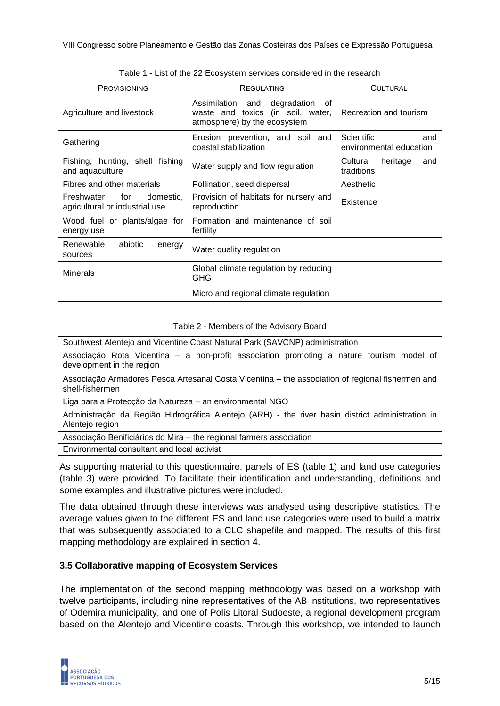| <b>PROVISIONING</b>                                              | REGULATING                                                                                              | <b>CULTURAL</b>                              |
|------------------------------------------------------------------|---------------------------------------------------------------------------------------------------------|----------------------------------------------|
| Agriculture and livestock                                        | Assimilation and<br>degradation of<br>waste and toxics (in soil, water,<br>atmosphere) by the ecosystem | Recreation and tourism                       |
| Gathering                                                        | Erosion prevention, and soil and<br>coastal stabilization                                               | Scientific<br>and<br>environmental education |
| Fishing, hunting, shell fishing<br>and aquaculture               | Water supply and flow regulation                                                                        | Cultural<br>heritage<br>and<br>traditions    |
| Fibres and other materials                                       | Pollination, seed dispersal                                                                             | Aesthetic                                    |
| Freshwater<br>for<br>domestic,<br>agricultural or industrial use | Provision of habitats for nursery and<br>reproduction                                                   | Existence                                    |
| Wood fuel or plants/algae for<br>energy use                      | Formation and maintenance of soil<br>fertility                                                          |                                              |
| Renewable<br>abiotic<br>energy<br>sources                        | Water quality regulation                                                                                |                                              |
| <b>Minerals</b>                                                  | Global climate regulation by reducing<br>GHG                                                            |                                              |
|                                                                  | Micro and regional climate regulation                                                                   |                                              |

Table 1 - List of the 22 Ecosystem services considered in the research

#### Table 2 - Members of the Advisory Board

Southwest Alentejo and Vicentine Coast Natural Park (SAVCNP) administration

Associação Rota Vicentina – a non-profit association promoting a nature tourism model of development in the region

Associação Armadores Pesca Artesanal Costa Vicentina – the association of regional fishermen and shell-fishermen

Liga para a Protecção da Natureza – an environmental NGO

Administração da Região Hidrográfica Alentejo (ARH) - the river basin district administration in Alentejo region

Associação Benificiários do Mira – the regional farmers association

Environmental consultant and local activist

As supporting material to this questionnaire, panels of ES (table 1) and land use categories (table 3) were provided. To facilitate their identification and understanding, definitions and some examples and illustrative pictures were included.

The data obtained through these interviews was analysed using descriptive statistics. The average values given to the different ES and land use categories were used to build a matrix that was subsequently associated to a CLC shapefile and mapped. The results of this first mapping methodology are explained in section 4.

#### **3.5 Collaborative mapping of Ecosystem Services**

The implementation of the second mapping methodology was based on a workshop with twelve participants, including nine representatives of the AB institutions, two representatives of Odemira municipality, and one of Polis Litoral Sudoeste, a regional development program based on the Alentejo and Vicentine coasts. Through this workshop, we intended to launch

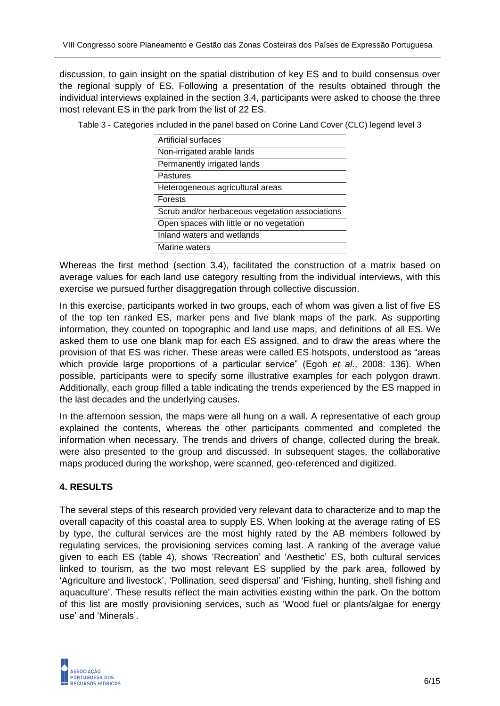discussion, to gain insight on the spatial distribution of key ES and to build consensus over the regional supply of ES. Following a presentation of the results obtained through the individual interviews explained in the section 3.4, participants were asked to choose the three most relevant ES in the park from the list of 22 ES.

Table 3 - Categories included in the panel based on Corine Land Cover (CLC) legend level 3

| Artificial surfaces                             |
|-------------------------------------------------|
| Non-irrigated arable lands                      |
| Permanently irrigated lands                     |
| Pastures                                        |
| Heterogeneous agricultural areas                |
| <b>Forests</b>                                  |
| Scrub and/or herbaceous vegetation associations |
| Open spaces with little or no vegetation        |
| Inland waters and wetlands                      |
| Marine waters                                   |

Whereas the first method (section 3.4), facilitated the construction of a matrix based on average values for each land use category resulting from the individual interviews, with this exercise we pursued further disaggregation through collective discussion.

In this exercise, participants worked in two groups, each of whom was given a list of five ES of the top ten ranked ES, marker pens and five blank maps of the park. As supporting information, they counted on topographic and land use maps, and definitions of all ES. We asked them to use one blank map for each ES assigned, and to draw the areas where the provision of that ES was richer. These areas were called ES hotspots, understood as "areas which provide large proportions of a particular service" (Egoh *et al*., 2008: 136). When possible, participants were to specify some illustrative examples for each polygon drawn. Additionally, each group filled a table indicating the trends experienced by the ES mapped in the last decades and the underlying causes.

In the afternoon session, the maps were all hung on a wall. A representative of each group explained the contents, whereas the other participants commented and completed the information when necessary. The trends and drivers of change, collected during the break, were also presented to the group and discussed. In subsequent stages, the collaborative maps produced during the workshop, were scanned, geo-referenced and digitized.

### **4. RESULTS**

The several steps of this research provided very relevant data to characterize and to map the overall capacity of this coastal area to supply ES. When looking at the average rating of ES by type, the cultural services are the most highly rated by the AB members followed by regulating services, the provisioning services coming last. A ranking of the average value given to each ES (table 4), shows 'Recreation' and 'Aesthetic' ES, both cultural services linked to tourism, as the two most relevant ES supplied by the park area, followed by 'Agriculture and livestock', 'Pollination, seed dispersal' and 'Fishing, hunting, shell fishing and aquaculture'. These results reflect the main activities existing within the park. On the bottom of this list are mostly provisioning services, such as 'Wood fuel or plants/algae for energy use' and 'Minerals'.

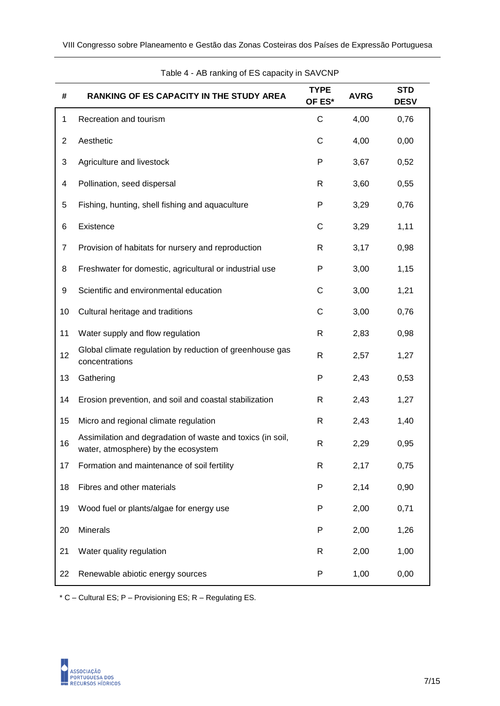| #              | <b>RANKING OF ES CAPACITY IN THE STUDY AREA</b>                                                   | <b>TYPE</b><br>OF ES* | <b>AVRG</b> | <b>STD</b><br><b>DESV</b> |  |  |
|----------------|---------------------------------------------------------------------------------------------------|-----------------------|-------------|---------------------------|--|--|
| 1              | Recreation and tourism                                                                            | C                     | 4,00        | 0,76                      |  |  |
| $\overline{c}$ | Aesthetic                                                                                         | C                     | 4,00        | 0,00                      |  |  |
| 3              | Agriculture and livestock                                                                         | P                     | 3,67        | 0,52                      |  |  |
| 4              | Pollination, seed dispersal                                                                       | R                     | 3,60        | 0,55                      |  |  |
| 5              | Fishing, hunting, shell fishing and aquaculture                                                   | P                     | 3,29        | 0,76                      |  |  |
| 6              | Existence                                                                                         | C                     | 3,29        | 1,11                      |  |  |
| 7              | Provision of habitats for nursery and reproduction                                                | R                     | 3,17        | 0,98                      |  |  |
| 8              | Freshwater for domestic, agricultural or industrial use                                           | P                     | 3,00        | 1,15                      |  |  |
| 9              | Scientific and environmental education                                                            | C                     | 3,00        | 1,21                      |  |  |
| 10             | Cultural heritage and traditions                                                                  | C                     | 3,00        | 0,76                      |  |  |
| 11             | Water supply and flow regulation                                                                  | R                     | 2,83        | 0,98                      |  |  |
| 12             | Global climate regulation by reduction of greenhouse gas<br>concentrations                        | R                     | 2,57        | 1,27                      |  |  |
| 13             | Gathering                                                                                         | P                     | 2,43        | 0,53                      |  |  |
| 14             | Erosion prevention, and soil and coastal stabilization                                            | R                     | 2,43        | 1,27                      |  |  |
| 15             | Micro and regional climate regulation                                                             | R                     | 2,43        | 1,40                      |  |  |
| 16             | Assimilation and degradation of waste and toxics (in soil,<br>water, atmosphere) by the ecosystem | R                     | 2,29        | 0,95                      |  |  |
| 17             | Formation and maintenance of soil fertility                                                       | R                     | 2,17        | 0,75                      |  |  |
| 18             | Fibres and other materials                                                                        | P                     | 2,14        | 0,90                      |  |  |
| 19             | Wood fuel or plants/algae for energy use                                                          | P                     | 2,00        | 0,71                      |  |  |
| 20             | Minerals                                                                                          | P                     | 2,00        | 1,26                      |  |  |
| 21             | Water quality regulation                                                                          | R                     | 2,00        | 1,00                      |  |  |
| 22             | Renewable abiotic energy sources                                                                  | P                     | 1,00        | 0,00                      |  |  |

Table 4 - AB ranking of ES capacity in SAVCNP

\* C – Cultural ES; P – Provisioning ES; R – Regulating ES.

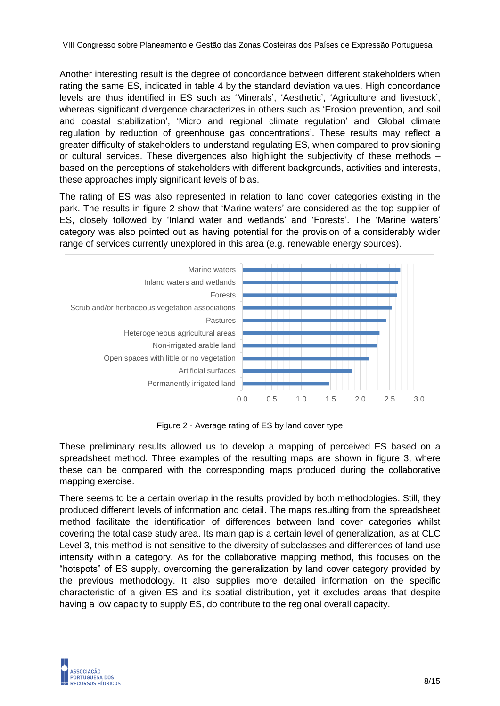Another interesting result is the degree of concordance between different stakeholders when rating the same ES, indicated in table 4 by the standard deviation values. High concordance levels are thus identified in ES such as 'Minerals', 'Aesthetic', 'Agriculture and livestock', whereas significant divergence characterizes in others such as 'Erosion prevention, and soil and coastal stabilization', 'Micro and regional climate regulation' and 'Global climate regulation by reduction of greenhouse gas concentrations'. These results may reflect a greater difficulty of stakeholders to understand regulating ES, when compared to provisioning or cultural services. These divergences also highlight the subjectivity of these methods – based on the perceptions of stakeholders with different backgrounds, activities and interests, these approaches imply significant levels of bias.

The rating of ES was also represented in relation to land cover categories existing in the park. The results in figure 2 show that 'Marine waters' are considered as the top supplier of ES, closely followed by 'Inland water and wetlands' and 'Forests'. The 'Marine waters' category was also pointed out as having potential for the provision of a considerably wider range of services currently unexplored in this area (e.g. renewable energy sources).



Figure 2 - Average rating of ES by land cover type

These preliminary results allowed us to develop a mapping of perceived ES based on a spreadsheet method. Three examples of the resulting maps are shown in figure 3, where these can be compared with the corresponding maps produced during the collaborative mapping exercise.

There seems to be a certain overlap in the results provided by both methodologies. Still, they produced different levels of information and detail. The maps resulting from the spreadsheet method facilitate the identification of differences between land cover categories whilst covering the total case study area. Its main gap is a certain level of generalization, as at CLC Level 3, this method is not sensitive to the diversity of subclasses and differences of land use intensity within a category. As for the collaborative mapping method, this focuses on the "hotspots" of ES supply, overcoming the generalization by land cover category provided by the previous methodology. It also supplies more detailed information on the specific characteristic of a given ES and its spatial distribution, yet it excludes areas that despite having a low capacity to supply ES, do contribute to the regional overall capacity.

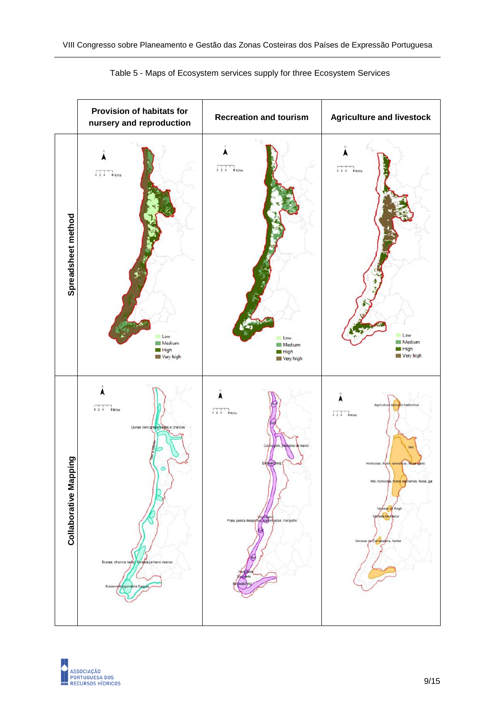



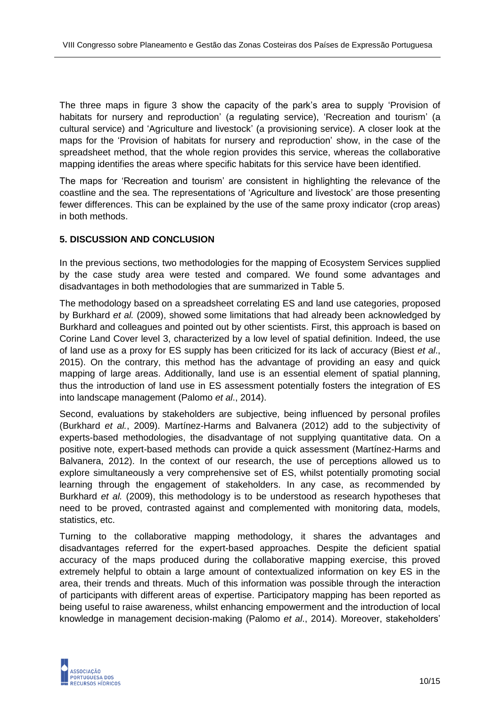The three maps in figure 3 show the capacity of the park's area to supply 'Provision of habitats for nursery and reproduction' (a regulating service), 'Recreation and tourism' (a cultural service) and 'Agriculture and livestock' (a provisioning service). A closer look at the maps for the 'Provision of habitats for nursery and reproduction' show, in the case of the spreadsheet method, that the whole region provides this service, whereas the collaborative mapping identifies the areas where specific habitats for this service have been identified.

The maps for 'Recreation and tourism' are consistent in highlighting the relevance of the coastline and the sea. The representations of 'Agriculture and livestock' are those presenting fewer differences. This can be explained by the use of the same proxy indicator (crop areas) in both methods.

#### **5. DISCUSSION AND CONCLUSION**

In the previous sections, two methodologies for the mapping of Ecosystem Services supplied by the case study area were tested and compared. We found some advantages and disadvantages in both methodologies that are summarized in Table 5.

The methodology based on a spreadsheet correlating ES and land use categories, proposed by Burkhard *et al.* (2009), showed some limitations that had already been acknowledged by Burkhard and colleagues and pointed out by other scientists. First, this approach is based on Corine Land Cover level 3, characterized by a low level of spatial definition. Indeed, the use of land use as a proxy for ES supply has been criticized for its lack of accuracy (Biest *et al*., 2015). On the contrary, this method has the advantage of providing an easy and quick mapping of large areas. Additionally, land use is an essential element of spatial planning, thus the introduction of land use in ES assessment potentially fosters the integration of ES into landscape management (Palomo *et al*., 2014).

Second, evaluations by stakeholders are subjective, being influenced by personal profiles (Burkhard *et al.*, 2009). Martínez-Harms and Balvanera (2012) add to the subjectivity of experts-based methodologies, the disadvantage of not supplying quantitative data. On a positive note, expert-based methods can provide a quick assessment (Martínez-Harms and Balvanera, 2012). In the context of our research, the use of perceptions allowed us to explore simultaneously a very comprehensive set of ES, whilst potentially promoting social learning through the engagement of stakeholders. In any case, as recommended by Burkhard *et al.* (2009), this methodology is to be understood as research hypotheses that need to be proved, contrasted against and complemented with monitoring data, models, statistics, etc.

Turning to the collaborative mapping methodology, it shares the advantages and disadvantages referred for the expert-based approaches. Despite the deficient spatial accuracy of the maps produced during the collaborative mapping exercise, this proved extremely helpful to obtain a large amount of contextualized information on key ES in the area, their trends and threats. Much of this information was possible through the interaction of participants with different areas of expertise. Participatory mapping has been reported as being useful to raise awareness, whilst enhancing empowerment and the introduction of local knowledge in management decision-making (Palomo *et al*., 2014). Moreover, stakeholders'

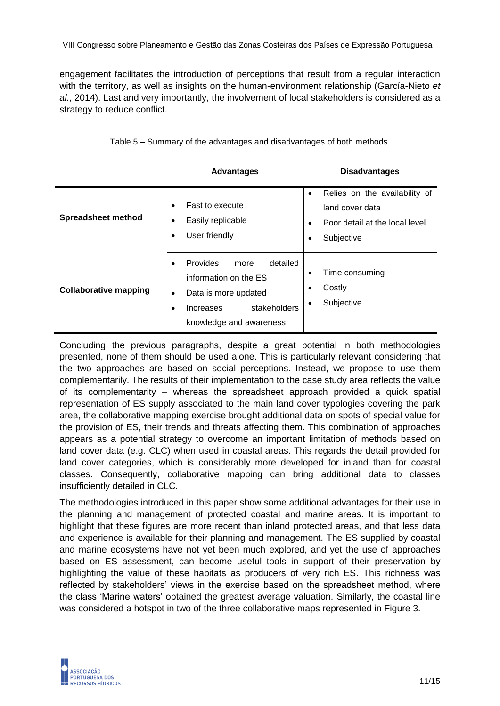engagement facilitates the introduction of perceptions that result from a regular interaction with the territory, as well as insights on the human-environment relationship (García-Nieto *et al.*, 2014). Last and very importantly, the involvement of local stakeholders is considered as a strategy to reduce conflict.

|                              | <b>Advantages</b>                                                                                                                                                            | <b>Disadvantages</b>                                                                                                                    |
|------------------------------|------------------------------------------------------------------------------------------------------------------------------------------------------------------------------|-----------------------------------------------------------------------------------------------------------------------------------------|
| <b>Spreadsheet method</b>    | Fast to execute<br>$\bullet$<br>Easily replicable<br>User friendly<br>$\bullet$                                                                                              | Relies on the availability of<br>$\bullet$<br>land cover data<br>Poor detail at the local level<br>$\bullet$<br>Subjective<br>$\bullet$ |
| <b>Collaborative mapping</b> | Provides<br>detailed<br>more<br>$\bullet$<br>information on the ES<br>Data is more updated<br>$\bullet$<br>stakeholders<br>Increases<br>$\bullet$<br>knowledge and awareness | Time consuming<br>$\bullet$<br>Costly<br>$\bullet$<br>Subjective<br>٠                                                                   |

Table 5 – Summary of the advantages and disadvantages of both methods.

Concluding the previous paragraphs, despite a great potential in both methodologies presented, none of them should be used alone. This is particularly relevant considering that the two approaches are based on social perceptions. Instead, we propose to use them complementarily. The results of their implementation to the case study area reflects the value of its complementarity – whereas the spreadsheet approach provided a quick spatial representation of ES supply associated to the main land cover typologies covering the park area, the collaborative mapping exercise brought additional data on spots of special value for the provision of ES, their trends and threats affecting them. This combination of approaches appears as a potential strategy to overcome an important limitation of methods based on land cover data (e.g. CLC) when used in coastal areas. This regards the detail provided for land cover categories, which is considerably more developed for inland than for coastal classes. Consequently, collaborative mapping can bring additional data to classes insufficiently detailed in CLC.

The methodologies introduced in this paper show some additional advantages for their use in the planning and management of protected coastal and marine areas. It is important to highlight that these figures are more recent than inland protected areas, and that less data and experience is available for their planning and management. The ES supplied by coastal and marine ecosystems have not yet been much explored, and yet the use of approaches based on ES assessment, can become useful tools in support of their preservation by highlighting the value of these habitats as producers of very rich ES. This richness was reflected by stakeholders' views in the exercise based on the spreadsheet method, where the class 'Marine waters' obtained the greatest average valuation. Similarly, the coastal line was considered a hotspot in two of the three collaborative maps represented in Figure 3.

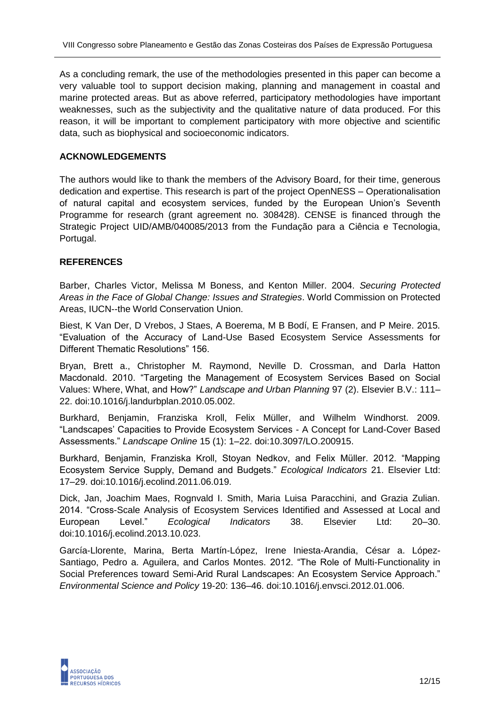As a concluding remark, the use of the methodologies presented in this paper can become a very valuable tool to support decision making, planning and management in coastal and marine protected areas. But as above referred, participatory methodologies have important weaknesses, such as the subjectivity and the qualitative nature of data produced. For this reason, it will be important to complement participatory with more objective and scientific data, such as biophysical and socioeconomic indicators.

#### **ACKNOWLEDGEMENTS**

The authors would like to thank the members of the Advisory Board, for their time, generous dedication and expertise. This research is part of the project OpenNESS – Operationalisation of natural capital and ecosystem services, funded by the European Union's Seventh Programme for research (grant agreement no. 308428). CENSE is financed through the Strategic Project UID/AMB/040085/2013 from the Fundação para a Ciência e Tecnologia, Portugal.

#### **REFERENCES**

Barber, Charles Victor, Melissa M Boness, and Kenton Miller. 2004. *Securing Protected Areas in the Face of Global Change: Issues and Strategies*. World Commission on Protected Areas, IUCN--the World Conservation Union.

Biest, K Van Der, D Vrebos, J Staes, A Boerema, M B Bodí, E Fransen, and P Meire. 2015. "Evaluation of the Accuracy of Land-Use Based Ecosystem Service Assessments for Different Thematic Resolutions" 156.

Bryan, Brett a., Christopher M. Raymond, Neville D. Crossman, and Darla Hatton Macdonald. 2010. "Targeting the Management of Ecosystem Services Based on Social Values: Where, What, and How?" *Landscape and Urban Planning* 97 (2). Elsevier B.V.: 111– 22. doi:10.1016/j.landurbplan.2010.05.002.

Burkhard, Benjamin, Franziska Kroll, Felix Müller, and Wilhelm Windhorst. 2009. "Landscapes' Capacities to Provide Ecosystem Services - A Concept for Land-Cover Based Assessments." *Landscape Online* 15 (1): 1–22. doi:10.3097/LO.200915.

Burkhard, Benjamin, Franziska Kroll, Stoyan Nedkov, and Felix Müller. 2012. "Mapping Ecosystem Service Supply, Demand and Budgets." *Ecological Indicators* 21. Elsevier Ltd: 17–29. doi:10.1016/j.ecolind.2011.06.019.

Dick, Jan, Joachim Maes, Rognvald I. Smith, Maria Luisa Paracchini, and Grazia Zulian. 2014. "Cross-Scale Analysis of Ecosystem Services Identified and Assessed at Local and European Level." *Ecological Indicators* 38. Elsevier Ltd: 20–30. doi:10.1016/j.ecolind.2013.10.023.

García-Llorente, Marina, Berta Martín-López, Irene Iniesta-Arandia, César a. López-Santiago, Pedro a. Aguilera, and Carlos Montes. 2012. "The Role of Multi-Functionality in Social Preferences toward Semi-Arid Rural Landscapes: An Ecosystem Service Approach." *Environmental Science and Policy* 19-20: 136–46. doi:10.1016/j.envsci.2012.01.006.

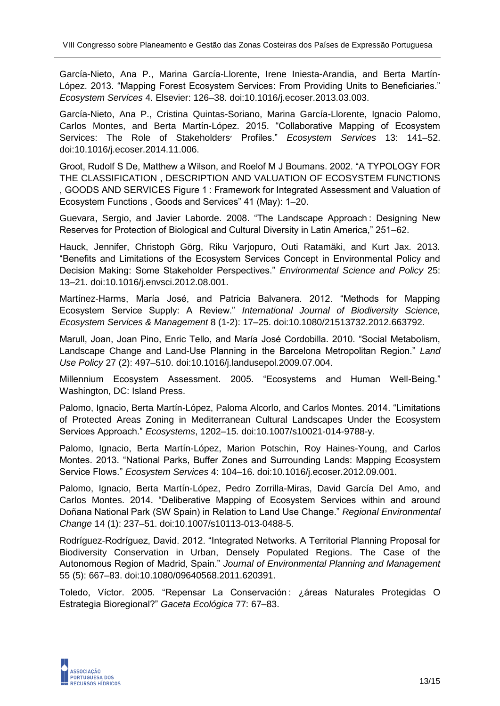García-Nieto, Ana P., Marina García-Llorente, Irene Iniesta-Arandia, and Berta Martín-López. 2013. "Mapping Forest Ecosystem Services: From Providing Units to Beneficiaries." *Ecosystem Services* 4. Elsevier: 126–38. doi:10.1016/j.ecoser.2013.03.003.

García-Nieto, Ana P., Cristina Quintas-Soriano, Marina García-Llorente, Ignacio Palomo, Carlos Montes, and Berta Martín-López. 2015. "Collaborative Mapping of Ecosystem Services: The Role of Stakeholders׳ Profiles." *Ecosystem Services* 13: 141–52. doi:10.1016/j.ecoser.2014.11.006.

Groot, Rudolf S De, Matthew a Wilson, and Roelof M J Boumans. 2002. "A TYPOLOGY FOR THE CLASSIFICATION , DESCRIPTION AND VALUATION OF ECOSYSTEM FUNCTIONS , GOODS AND SERVICES Figure 1 : Framework for Integrated Assessment and Valuation of Ecosystem Functions , Goods and Services" 41 (May): 1–20.

Guevara, Sergio, and Javier Laborde. 2008. "The Landscape Approach : Designing New Reserves for Protection of Biological and Cultural Diversity in Latin America," 251–62.

Hauck, Jennifer, Christoph Görg, Riku Varjopuro, Outi Ratamäki, and Kurt Jax. 2013. "Benefits and Limitations of the Ecosystem Services Concept in Environmental Policy and Decision Making: Some Stakeholder Perspectives." *Environmental Science and Policy* 25: 13–21. doi:10.1016/j.envsci.2012.08.001.

Martínez-Harms, María José, and Patricia Balvanera. 2012. "Methods for Mapping Ecosystem Service Supply: A Review." *International Journal of Biodiversity Science, Ecosystem Services & Management* 8 (1-2): 17–25. doi:10.1080/21513732.2012.663792.

Marull, Joan, Joan Pino, Enric Tello, and María José Cordobilla. 2010. "Social Metabolism, Landscape Change and Land-Use Planning in the Barcelona Metropolitan Region." *Land Use Policy* 27 (2): 497–510. doi:10.1016/j.landusepol.2009.07.004.

Millennium Ecosystem Assessment. 2005. "Ecosystems and Human Well-Being." Washington, DC: Island Press.

Palomo, Ignacio, Berta Martín-López, Paloma Alcorlo, and Carlos Montes. 2014. "Limitations of Protected Areas Zoning in Mediterranean Cultural Landscapes Under the Ecosystem Services Approach." *Ecosystems*, 1202–15. doi:10.1007/s10021-014-9788-y.

Palomo, Ignacio, Berta Martín-López, Marion Potschin, Roy Haines-Young, and Carlos Montes. 2013. "National Parks, Buffer Zones and Surrounding Lands: Mapping Ecosystem Service Flows." *Ecosystem Services* 4: 104–16. doi:10.1016/j.ecoser.2012.09.001.

Palomo, Ignacio, Berta Martín-López, Pedro Zorrilla-Miras, David García Del Amo, and Carlos Montes. 2014. "Deliberative Mapping of Ecosystem Services within and around Doñana National Park (SW Spain) in Relation to Land Use Change." *Regional Environmental Change* 14 (1): 237–51. doi:10.1007/s10113-013-0488-5.

Rodríguez-Rodríguez, David. 2012. "Integrated Networks. A Territorial Planning Proposal for Biodiversity Conservation in Urban, Densely Populated Regions. The Case of the Autonomous Region of Madrid, Spain." *Journal of Environmental Planning and Management* 55 (5): 667–83. doi:10.1080/09640568.2011.620391.

Toledo, Víctor. 2005. "Repensar La Conservación : ¿áreas Naturales Protegidas O Estrategia Bioregional?" *Gaceta Ecológica* 77: 67–83.